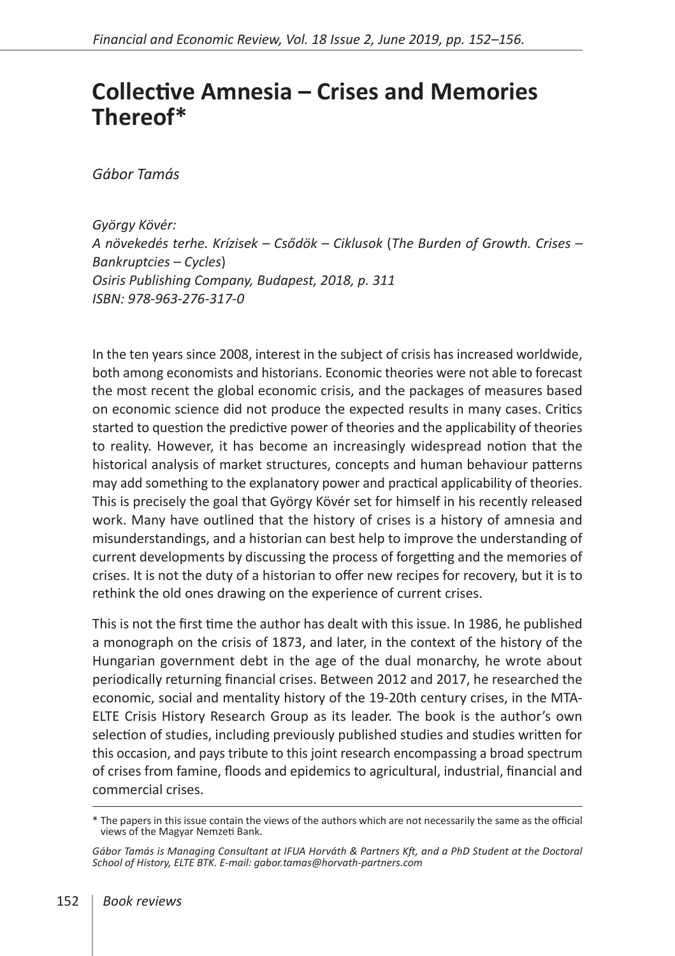## **Collective Amnesia – Crises and Memories Thereof\***

*Gábor Tamás*

*György Kövér: A növekedés terhe. Krízisek – Csődök – Ciklusok* (*The Burden of Growth. Crises – Bankruptcies – Cycles*) *Osiris Publishing Company, Budapest, 2018, p. 311 ISBN: 978-963-276-317-0*

In the ten years since 2008, interest in the subject of crisis has increased worldwide, both among economists and historians. Economic theories were not able to forecast the most recent the global economic crisis, and the packages of measures based on economic science did not produce the expected results in many cases. Critics started to question the predictive power of theories and the applicability of theories to reality. However, it has become an increasingly widespread notion that the historical analysis of market structures, concepts and human behaviour patterns may add something to the explanatory power and practical applicability of theories. This is precisely the goal that György Kövér set for himself in his recently released work. Many have outlined that the history of crises is a history of amnesia and misunderstandings, and a historian can best help to improve the understanding of current developments by discussing the process of forgetting and the memories of crises. It is not the duty of a historian to offer new recipes for recovery, but it is to rethink the old ones drawing on the experience of current crises.

This is not the first time the author has dealt with this issue. In 1986, he published a monograph on the crisis of 1873, and later, in the context of the history of the Hungarian government debt in the age of the dual monarchy, he wrote about periodically returning financial crises. Between 2012 and 2017, he researched the economic, social and mentality history of the 19-20th century crises, in the MTA-ELTE Crisis History Research Group as its leader. The book is the author's own selection of studies, including previously published studies and studies written for this occasion, and pays tribute to this joint research encompassing a broad spectrum of crises from famine, floods and epidemics to agricultural, industrial, financial and commercial crises.

<sup>\*</sup> The papers in this issue contain the views of the authors which are not necessarily the same as the official views of the Magyar Nemzeti Bank.

*Gábor Tamás is Managing Consultant at IFUA Horváth & Partners Kft, and a PhD Student at the Doctoral School of History, ELTE BTK. E-mail: gabor.tamas@horvath-partners.com*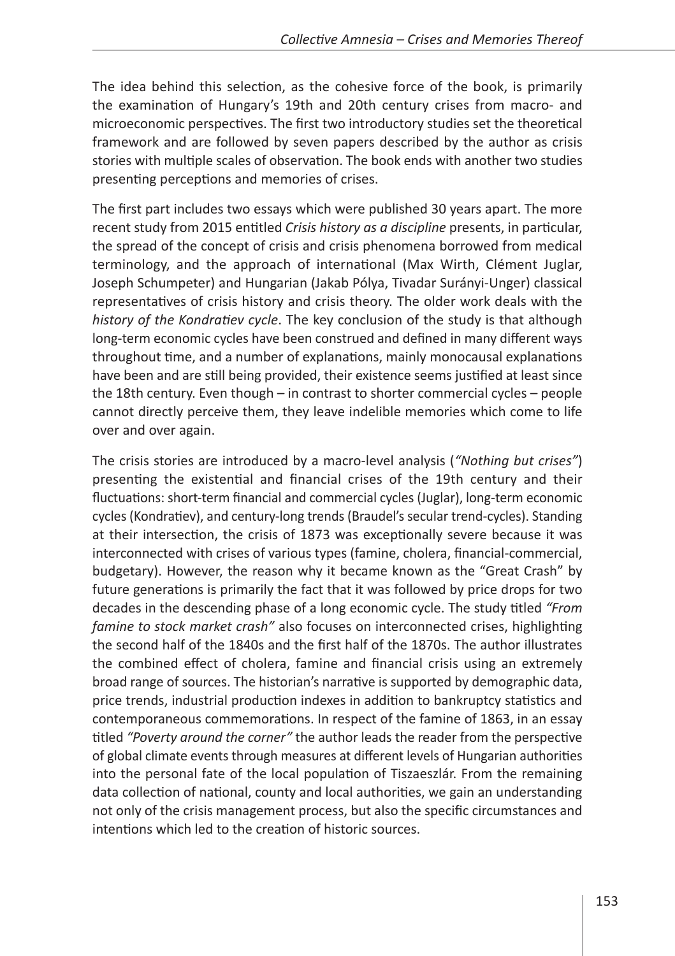The idea behind this selection, as the cohesive force of the book, is primarily the examination of Hungary's 19th and 20th century crises from macro- and microeconomic perspectives. The first two introductory studies set the theoretical framework and are followed by seven papers described by the author as crisis stories with multiple scales of observation. The book ends with another two studies presenting perceptions and memories of crises.

The first part includes two essays which were published 30 years apart. The more recent study from 2015 entitled *Crisis history as a discipline* presents, in particular, the spread of the concept of crisis and crisis phenomena borrowed from medical terminology, and the approach of international (Max Wirth, Clément Juglar, Joseph Schumpeter) and Hungarian (Jakab Pólya, Tivadar Surányi-Unger) classical representatives of crisis history and crisis theory. The older work deals with the *history of the Kondratiev cycle*. The key conclusion of the study is that although long-term economic cycles have been construed and defined in many different ways throughout time, and a number of explanations, mainly monocausal explanations have been and are still being provided, their existence seems justified at least since the 18th century. Even though – in contrast to shorter commercial cycles – people cannot directly perceive them, they leave indelible memories which come to life over and over again.

The crisis stories are introduced by a macro-level analysis (*"Nothing but crises"*) presenting the existential and financial crises of the 19th century and their fluctuations: short-term financial and commercial cycles (Juglar), long-term economic cycles (Kondratiev), and century-long trends (Braudel's secular trend-cycles). Standing at their intersection, the crisis of 1873 was exceptionally severe because it was interconnected with crises of various types (famine, cholera, financial-commercial, budgetary). However, the reason why it became known as the "Great Crash" by future generations is primarily the fact that it was followed by price drops for two decades in the descending phase of a long economic cycle. The study titled *"From famine to stock market crash"* also focuses on interconnected crises, highlighting the second half of the 1840s and the first half of the 1870s. The author illustrates the combined effect of cholera, famine and financial crisis using an extremely broad range of sources. The historian's narrative is supported by demographic data, price trends, industrial production indexes in addition to bankruptcy statistics and contemporaneous commemorations. In respect of the famine of 1863, in an essay titled *"Poverty around the corner"* the author leads the reader from the perspective of global climate events through measures at different levels of Hungarian authorities into the personal fate of the local population of Tiszaeszlár. From the remaining data collection of national, county and local authorities, we gain an understanding not only of the crisis management process, but also the specific circumstances and intentions which led to the creation of historic sources.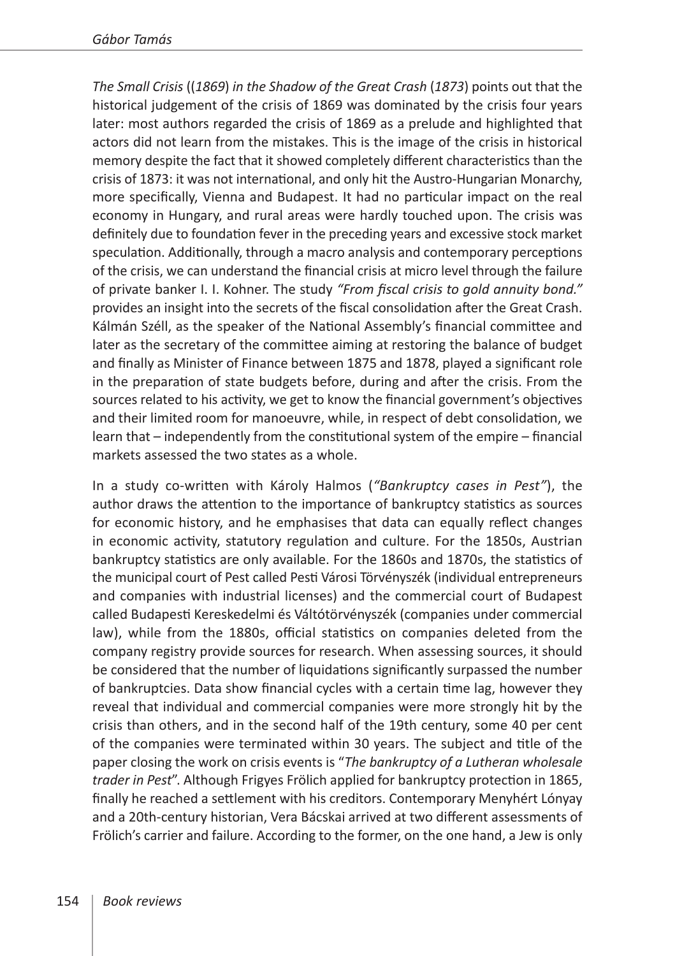*The Small Crisis* ((*1869*) *in the Shadow of the Great Crash* (*1873*) points out that the historical judgement of the crisis of 1869 was dominated by the crisis four years later: most authors regarded the crisis of 1869 as a prelude and highlighted that actors did not learn from the mistakes. This is the image of the crisis in historical memory despite the fact that it showed completely different characteristics than the crisis of 1873: it was not international, and only hit the Austro-Hungarian Monarchy, more specifically, Vienna and Budapest. It had no particular impact on the real economy in Hungary, and rural areas were hardly touched upon. The crisis was definitely due to foundation fever in the preceding years and excessive stock market speculation. Additionally, through a macro analysis and contemporary perceptions of the crisis, we can understand the financial crisis at micro level through the failure of private banker I. I. Kohner. The study *"From fiscal crisis to gold annuity bond."* provides an insight into the secrets of the fiscal consolidation after the Great Crash. Kálmán Széll, as the speaker of the National Assembly's financial committee and later as the secretary of the committee aiming at restoring the balance of budget and finally as Minister of Finance between 1875 and 1878, played a significant role in the preparation of state budgets before, during and after the crisis. From the sources related to his activity, we get to know the financial government's objectives and their limited room for manoeuvre, while, in respect of debt consolidation, we learn that – independently from the constitutional system of the empire – financial markets assessed the two states as a whole.

In a study co-written with Károly Halmos (*"Bankruptcy cases in Pest"*), the author draws the attention to the importance of bankruptcy statistics as sources for economic history, and he emphasises that data can equally reflect changes in economic activity, statutory regulation and culture. For the 1850s, Austrian bankruptcy statistics are only available. For the 1860s and 1870s, the statistics of the municipal court of Pest called Pesti Városi Törvényszék (individual entrepreneurs and companies with industrial licenses) and the commercial court of Budapest called Budapesti Kereskedelmi és Váltótörvényszék (companies under commercial law), while from the 1880s, official statistics on companies deleted from the company registry provide sources for research. When assessing sources, it should be considered that the number of liquidations significantly surpassed the number of bankruptcies. Data show financial cycles with a certain time lag, however they reveal that individual and commercial companies were more strongly hit by the crisis than others, and in the second half of the 19th century, some 40 per cent of the companies were terminated within 30 years. The subject and title of the paper closing the work on crisis events is "*The bankruptcy of a Lutheran wholesale trader in Pest*". Although Frigyes Frölich applied for bankruptcy protection in 1865, finally he reached a settlement with his creditors. Contemporary Menyhért Lónyay and a 20th-century historian, Vera Bácskai arrived at two different assessments of Frölich's carrier and failure. According to the former, on the one hand, a Jew is only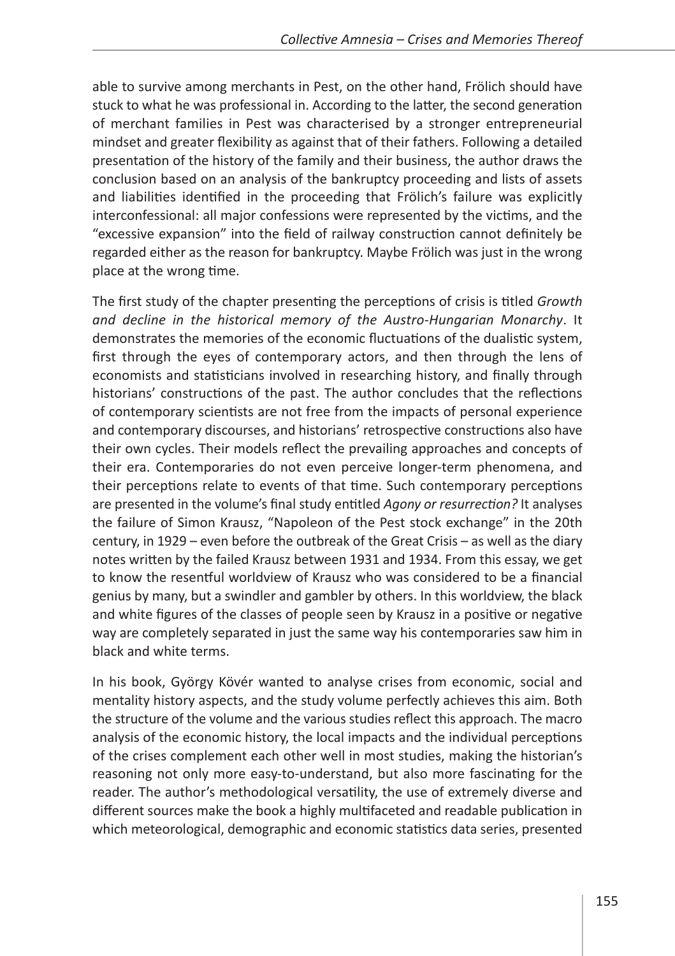able to survive among merchants in Pest, on the other hand, Frölich should have stuck to what he was professional in. According to the latter, the second generation of merchant families in Pest was characterised by a stronger entrepreneurial mindset and greater flexibility as against that of their fathers. Following a detailed presentation of the history of the family and their business, the author draws the conclusion based on an analysis of the bankruptcy proceeding and lists of assets and liabilities identified in the proceeding that Frölich's failure was explicitly interconfessional: all major confessions were represented by the victims, and the "excessive expansion" into the field of railway construction cannot definitely be regarded either as the reason for bankruptcy. Maybe Frölich was just in the wrong place at the wrong time.

The first study of the chapter presenting the perceptions of crisis is titled *Growth and decline in the historical memory of the Austro-Hungarian Monarchy*. It demonstrates the memories of the economic fluctuations of the dualistic system, first through the eyes of contemporary actors, and then through the lens of economists and statisticians involved in researching history, and finally through historians' constructions of the past. The author concludes that the reflections of contemporary scientists are not free from the impacts of personal experience and contemporary discourses, and historians' retrospective constructions also have their own cycles. Their models reflect the prevailing approaches and concepts of their era. Contemporaries do not even perceive longer-term phenomena, and their perceptions relate to events of that time. Such contemporary perceptions are presented in the volume's final study entitled *Agony or resurrection?* It analyses the failure of Simon Krausz, "Napoleon of the Pest stock exchange" in the 20th century, in 1929 – even before the outbreak of the Great Crisis – as well as the diary notes written by the failed Krausz between 1931 and 1934. From this essay, we get to know the resentful worldview of Krausz who was considered to be a financial genius by many, but a swindler and gambler by others. In this worldview, the black and white figures of the classes of people seen by Krausz in a positive or negative way are completely separated in just the same way his contemporaries saw him in black and white terms.

In his book, György Kövér wanted to analyse crises from economic, social and mentality history aspects, and the study volume perfectly achieves this aim. Both the structure of the volume and the various studies reflect this approach. The macro analysis of the economic history, the local impacts and the individual perceptions of the crises complement each other well in most studies, making the historian's reasoning not only more easy-to-understand, but also more fascinating for the reader. The author's methodological versatility, the use of extremely diverse and different sources make the book a highly multifaceted and readable publication in which meteorological, demographic and economic statistics data series, presented